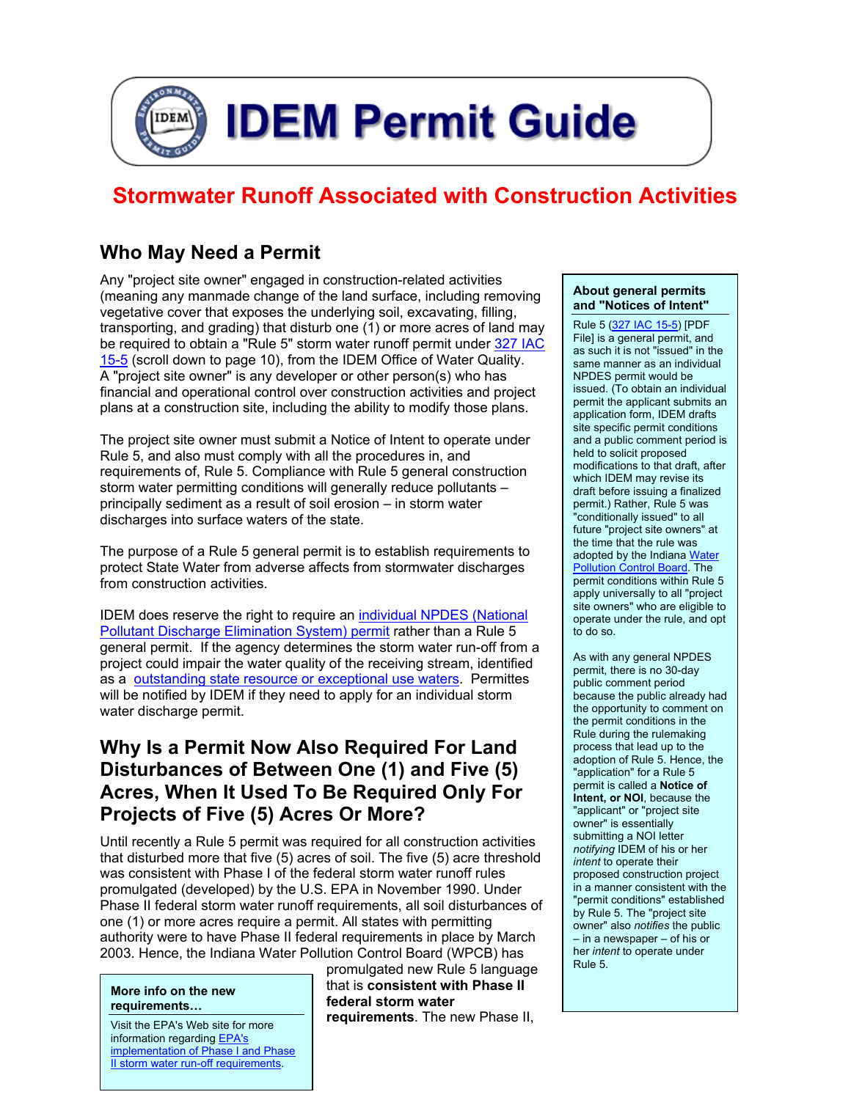

# **Stormwater Runoff Associated with Construction Activities**

# **Who May Need a Permit**

Any "project site owner" engaged in construction-related activities (meaning any manmade change of the land surface, including removing vegetative cover that exposes the underlying soil, excavating, filling, transporting, and grading) that disturb one (1) or more acres of land may be required to obtain a "Rule 5" storm water runoff permit under 327 IAC [15-5 \(](http://www.ai.org/legislative/iac/T03270/A00150.PDF)scroll down to page 10), from the IDEM Office of Water Quality. A "project site owner" is any developer or other person(s) who has financial and operational control over construction activities and project plans at a construction site, including the ability to modify those plans.

The project site owner must submit a Notice of Intent to operate under Rule 5, and also must comply with all the procedures in, and requirements of, Rule 5. Compliance with Rule 5 general construction storm water permitting conditions will generally reduce pollutants – principally sediment as a result of soil erosion – in storm water discharges into surface waters of the state.

The purpose of a Rule 5 general permit is to establish requirements to protect State Water from adverse affects from stormwater discharges from construction activities.

IDEM does reserve the right to require an [individual NPDES \(National](http://www.in.gov/idem/water/npdes/permits/wetwthr/storm/rule5defs.html#indvpermit)  [Pollutant Discharge Elimination System\) permit](http://www.in.gov/idem/water/npdes/permits/wetwthr/storm/rule5defs.html#indvpermit) rather than a Rule 5 general permit. If the agency determines the storm water run-off from a project could impair the water quality of the receiving stream, identified as a **outstanding state resource or exceptional use waters**. Permittes will be notified by IDEM if they need to apply for an individual storm water discharge permit.

### **Why Is a Permit Now Also Required For Land Disturbances of Between One (1) and Five (5) Acres, When It Used To Be Required Only For Projects of Five (5) Acres Or More?**

Until recently a Rule 5 permit was required for all construction activities that disturbed more that five (5) acres of soil. The five (5) acre threshold was consistent with Phase I of the federal storm water runoff rules promulgated (developed) by the U.S. EPA in November 1990. Under Phase II federal storm water runoff requirements, all soil disturbances of one (1) or more acres require a permit. All states with permitting authority were to have Phase II federal requirements in place by March 2003. Hence, the Indiana Water Pollution Control Board (WPCB) has

#### **More info on the new requirements…**

Visit the EPA's Web site for more information regarding [EPA's](http://cfpub.epa.gov/npdes/stormwater/swphases.cfm)  implementation of Phase I and Phase [II storm water run-off requirements.](http://cfpub.epa.gov/npdes/stormwater/swphases.cfm) 

promulgated new Rule 5 language that is **consistent with Phase II federal storm water requirements**. The new Phase II,

#### **About general permits and "Notices of Intent"**

Rule 5 ([327 IAC 15-5\)](http://www.in.gov/legislative/iac/T03270/A00150.pdf) [PDF File] is a general permit, and as such it is not "issued" in the same manner as an individual NPDES permit would be issued. (To obtain an individual permit the applicant submits an application form, IDEM drafts site specific permit conditions and a public comment period is held to solicit proposed modifications to that draft, after which IDEM may revise its draft before issuing a finalized permit.) Rather, Rule 5 was "conditionally issued" to all future "project site owners" at the time that the rule was adopted by the Indiana Water [Pollution Control Board.](http://www.in.gov/idem/water/planbr/rules/wpcbmembers.html) The permit conditions within Rule 5 apply universally to all "project site owners" who are eligible to operate under the rule, and opt to do so.

As with any general NPDES permit, there is no 30-day public comment period because the public already had the opportunity to comment on the permit conditions in the Rule during the rulemaking process that lead up to the adoption of Rule 5. Hence, the "application" for a Rule 5 permit is called a **Notice of Intent, or NOI**, because the "applicant" or "project site owner" is essentially submitting a NOI letter *notifying* IDEM of his or her *intent* to operate their proposed construction project in a manner consistent with the "permit conditions" established by Rule 5. The "project site owner" also *notifies* the public – in a newspaper – of his or her *intent* to operate under Rule 5.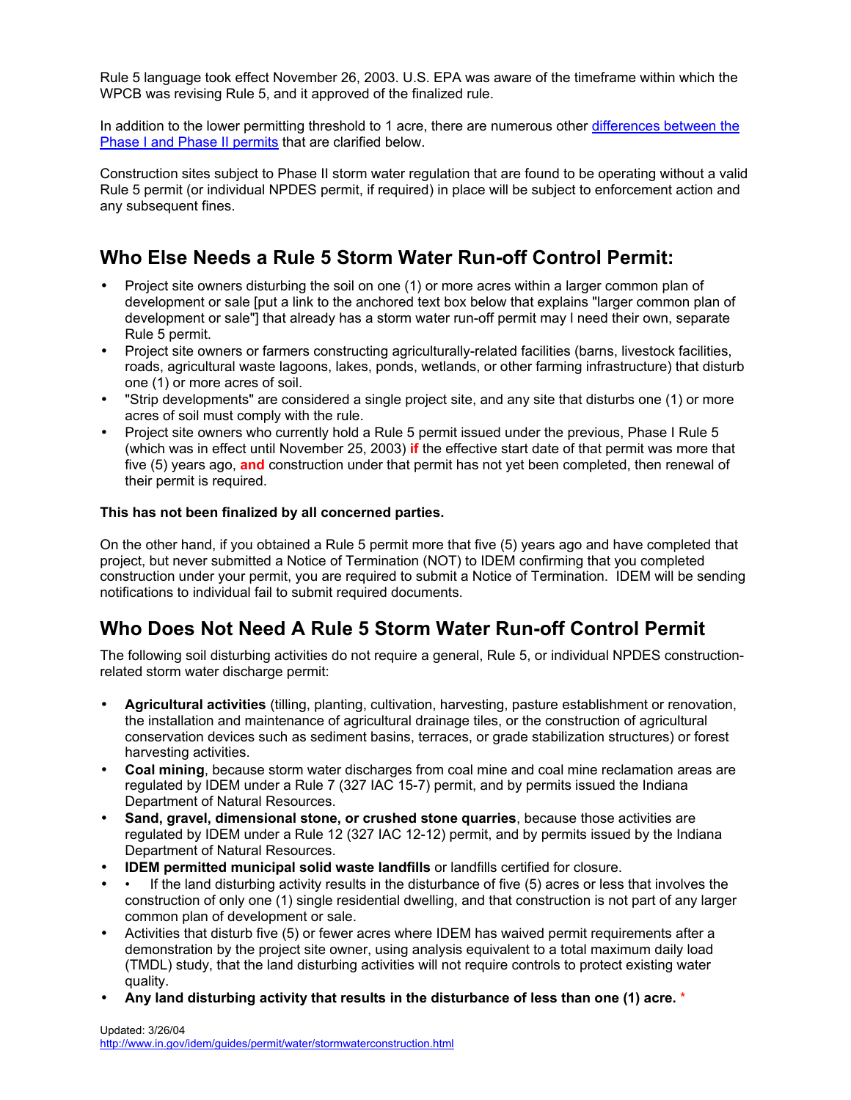Rule 5 language took effect November 26, 2003. U.S. EPA was aware of the timeframe within which the WPCB was revising Rule 5, and it approved of the finalized rule.

In addition to the lower permitting threshold to 1 acre, there are numerous other differences between the [Phase I and Phase II permits](#page-6-0) that are clarified below.

Construction sites subject to Phase II storm water regulation that are found to be operating without a valid Rule 5 permit (or individual NPDES permit, if required) in place will be subject to enforcement action and any subsequent fines.

# **Who Else Needs a Rule 5 Storm Water Run-off Control Permit:**

- Project site owners disturbing the soil on one (1) or more acres within a larger common plan of development or sale [put a link to the anchored text box below that explains "larger common plan of development or sale"] that already has a storm water run-off permit may l need their own, separate Rule 5 permit.
- Project site owners or farmers constructing agriculturally-related facilities (barns, livestock facilities, roads, agricultural waste lagoons, lakes, ponds, wetlands, or other farming infrastructure) that disturb one (1) or more acres of soil.
- "Strip developments" are considered a single project site, and any site that disturbs one (1) or more acres of soil must comply with the rule.
- Project site owners who currently hold a Rule 5 permit issued under the previous, Phase I Rule 5 (which was in effect until November 25, 2003) **if** the effective start date of that permit was more that five (5) years ago, **and** construction under that permit has not yet been completed, then renewal of their permit is required.

#### **This has not been finalized by all concerned parties.**

On the other hand, if you obtained a Rule 5 permit more that five (5) years ago and have completed that project, but never submitted a Notice of Termination (NOT) to IDEM confirming that you completed construction under your permit, you are required to submit a Notice of Termination. IDEM will be sending notifications to individual fail to submit required documents.

## **Who Does Not Need A Rule 5 Storm Water Run-off Control Permit**

The following soil disturbing activities do not require a general, Rule 5, or individual NPDES constructionrelated storm water discharge permit:

- **Agricultural activities** (tilling, planting, cultivation, harvesting, pasture establishment or renovation, the installation and maintenance of agricultural drainage tiles, or the construction of agricultural conservation devices such as sediment basins, terraces, or grade stabilization structures) or forest harvesting activities.
- **Coal mining**, because storm water discharges from coal mine and coal mine reclamation areas are regulated by IDEM under a Rule 7 (327 IAC 15-7) permit, and by permits issued the Indiana Department of Natural Resources.
- **Sand, gravel, dimensional stone, or crushed stone quarries**, because those activities are regulated by IDEM under a Rule 12 (327 IAC 12-12) permit, and by permits issued by the Indiana Department of Natural Resources.
- **IDEM permitted municipal solid waste landfills** or landfills certified for closure.
- If the land disturbing activity results in the disturbance of five (5) acres or less that involves the construction of only one (1) single residential dwelling, and that construction is not part of any larger common plan of development or sale.
- Activities that disturb five (5) or fewer acres where IDEM has waived permit requirements after a demonstration by the project site owner, using analysis equivalent to a total maximum daily load (TMDL) study, that the land disturbing activities will not require controls to protect existing water quality.
- **Any land disturbing activity that results in the disturbance of less than one (1) acre.** \*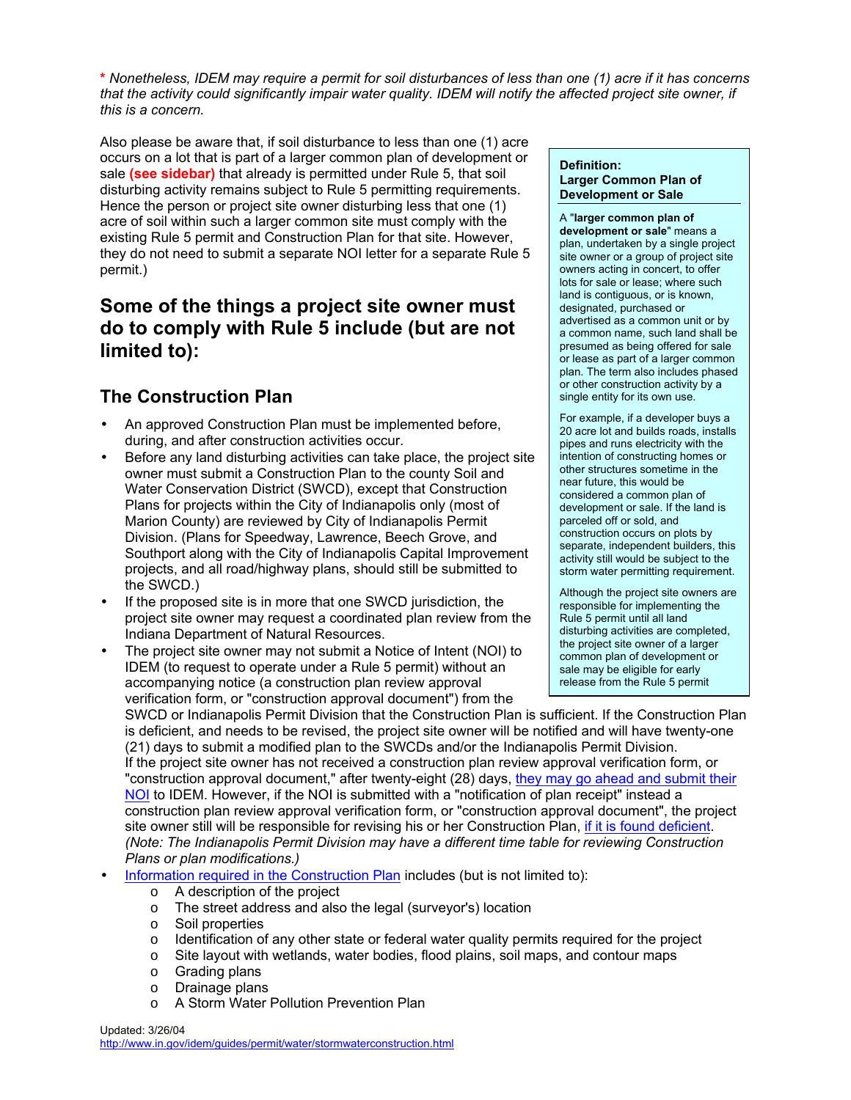<span id="page-2-0"></span>**\*** *Nonetheless, IDEM may require a permit for soil disturbances of less than one (1) acre if it has concerns that the activity could significantly impair water quality. IDEM will notify the affected project site owner, if this is a concern.* 

Also please be aware that, if soil disturbance to less than one (1) acre occurs on a lot that is part of a larger common plan of development or sale **(see sidebar)** that already is permitted under Rule 5, that soil disturbing activity remains subject to Rule 5 permitting requirements. Hence the person or project site owner disturbing less that one (1) acre of soil within such a larger common site must comply with the existing Rule 5 permit and Construction Plan for that site. However, they do not need to submit a separate NOI letter for a separate Rule 5 permit.)

# **Some of the things a project site owner must do to comply with Rule 5 include (but are not limited to):**

## **The Construction Plan**

- An approved Construction Plan must be implemented before, during, and after construction activities occur.
- Before any land disturbing activities can take place, the project site owner must submit a Construction Plan to the county Soil and Water Conservation District (SWCD), except that Construction Plans for projects within the City of Indianapolis only (most of Marion County) are reviewed by City of Indianapolis Permit Division. (Plans for Speedway, Lawrence, Beech Grove, and Southport along with the City of Indianapolis Capital Improvement projects, and all road/highway plans, should still be submitted to the SWCD.)
- If the proposed site is in more that one SWCD jurisdiction, the project site owner may request a coordinated plan review from the Indiana Department of Natural Resources.
- The project site owner may not submit a Notice of Intent (NOI) to IDEM (to request to operate under a Rule 5 permit) without an accompanying notice (a construction plan review approval verification form, or "construction approval document") from the SWCD or Indianapolis Permit Division that the Construction Plan is sufficient. If the Construction Plan

#### **Definition: Larger Common Plan of Development or Sale**

A "**larger common plan of development or sale**" means a plan, undertaken by a single project site owner or a group of project site owners acting in concert, to offer lots for sale or lease; where such land is contiguous, or is known, designated, purchased or advertised as a common unit or by a common name, such land shall be presumed as being offered for sale or lease as part of a larger common plan. The term also includes phased or other construction activity by a single entity for its own use.

For example, if a developer buys a 20 acre lot and builds roads, installs pipes and runs electricity with the intention of constructing homes or other structures sometime in the near future, this would be considered a common plan of development or sale. If the land is parceled off or sold, and construction occurs on plots by separate, independent builders, this activity still would be subject to the storm water permitting requirement.

Although the project site owners are responsible for implementing the Rule 5 permit until all land disturbing activities are completed, the project site owner of a larger common plan of development or sale may be eligible for early release from the Rule 5 permit

is deficient, and needs to be revised, the project site owner will be notified and will have twenty-one (21) days to submit a modified plan to the SWCDs and/or the Indianapolis Permit Division. If the project site owner has not received a construction plan review approval verification form, or "construction approval document," after twenty-eight (28) days, they may go ahead and submit their [NOI](#page-3-0) to IDEM. However, if the NOI is submitted with a "notification of plan receipt" instead a construction plan review approval verification form, or "construction approval document", the project site owner still will be responsible for revising his or her Construction Plan, [if it is found deficient.](#page-4-0) *(Note: The Indianapolis Permit Division may have a different time table for reviewing Construction Plans or plan modifications.)* 

- [Information required in the Construction Plan i](http://www.in.gov/idem/water/npdes/permits/wetwthr/storm/constplanreq.pdf)ncludes (but is not limited to):
	- o A description of the project
	- o The street address and also the legal (surveyor's) location
	- o Soil properties
	- $\circ$  Identification of any other state or federal water quality permits required for the project
	- o Site layout with wetlands, water bodies, flood plains, soil maps, and contour maps
	- o Grading plans
	- o Drainage plans
	- o A Storm Water Pollution Prevention Plan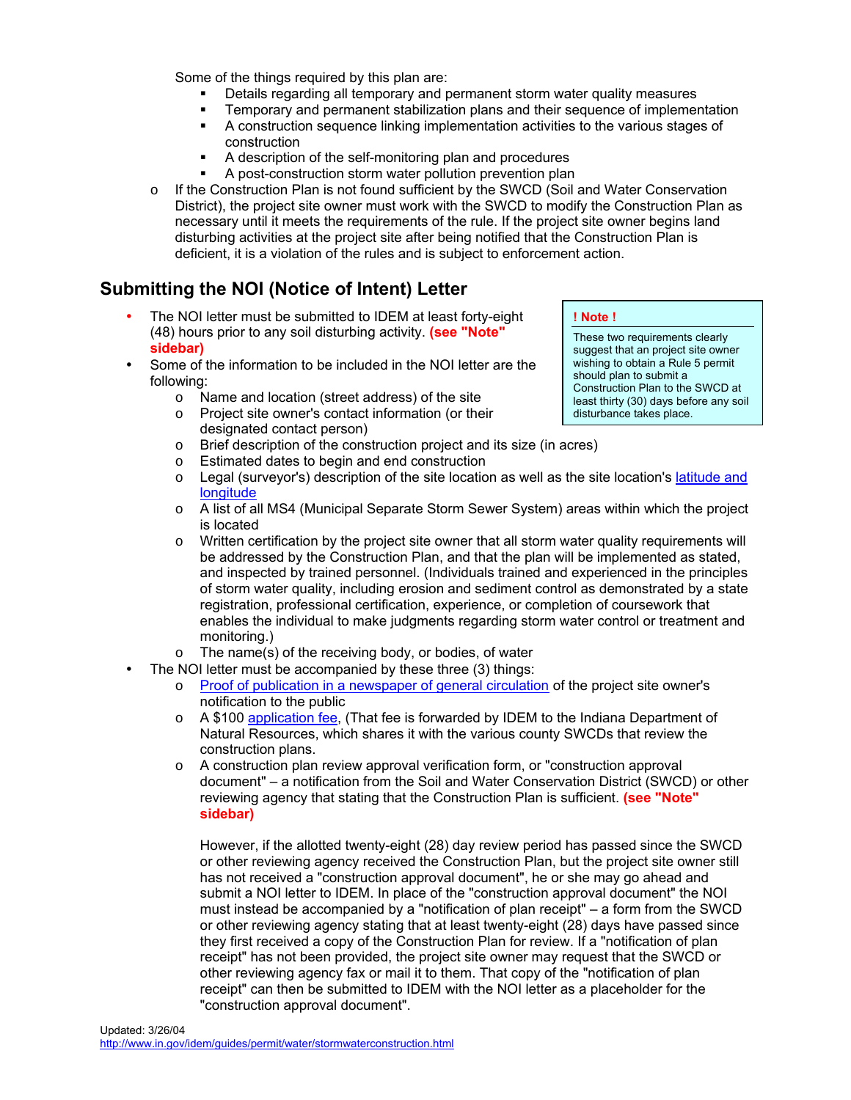<span id="page-3-0"></span>Some of the things required by this plan are:

- Details regarding all temporary and permanent storm water quality measures
- Temporary and permanent stabilization plans and their sequence of implementation
- A construction sequence linking implementation activities to the various stages of construction
- A description of the self-monitoring plan and procedures
- A post-construction storm water pollution prevention plan
- $\circ$  If the Construction Plan is not found sufficient by the SWCD (Soil and Water Conservation District), the project site owner must work with the SWCD to modify the Construction Plan as necessary until it meets the requirements of the rule. If the project site owner begins land disturbing activities at the project site after being notified that the Construction Plan is deficient, it is a violation of the rules and is subject to enforcement action.

## **Submitting the NOI (Notice of Intent) Letter**

- The NOI letter must be submitted to IDEM at least forty-eight (48) hours prior to any soil disturbing activity. **(see "Note" sidebar)**
- Some of the information to be included in the NOI letter are the following:
	- o Name and location (street address) of the site
	- o Project site owner's contact information (or their designated contact person)
	- o Brief description of the construction project and its size (in acres)
	- o Estimated dates to begin and end construction
	- $\circ$  Legal (surveyor's) description of the site location as well as the site location's latitude and [longitude](http://www.epa.gov/tri/report/siting_tool/index.htm)
	- o A list of all MS4 (Municipal Separate Storm Sewer System) areas within which the project is located
	- $\circ$  Written certification by the project site owner that all storm water quality requirements will be addressed by the Construction Plan, and that the plan will be implemented as stated, and inspected by trained personnel. (Individuals trained and experienced in the principles of storm water quality, including erosion and sediment control as demonstrated by a state registration, professional certification, experience, or completion of coursework that enables the individual to make judgments regarding storm water control or treatment and monitoring.)
	- o The name(s) of the receiving body, or bodies, of water
	- The NOI letter must be accompanied by these three (3) things:
		- o [Proof of publication in a newspaper of general circulation o](http://www.in.gov/idem/water/npdes/permits/wetwthr/storm/suggestedverb.html)f the project site owner's notification to the public
		- $\circ$  A \$100 [application fee,](http://www.in.gov/idem/guides/permit/other/feespage.html#stormwater) (That fee is forwarded by IDEM to the Indiana Department of Natural Resources, which shares it with the various county SWCDs that review the construction plans.
		- $\circ$  A construction plan review approval verification form, or "construction approval document" – a notification from the Soil and Water Conservation District (SWCD) or other reviewing agency that stating that the Construction Plan is sufficient. **(see "Note" sidebar)**

However, if the allotted twenty-eight (28) day review period has passed since the SWCD or other reviewing agency received the Construction Plan, but the project site owner still has not received a "construction approval document", he or she may go ahead and submit a NOI letter to IDEM. In place of the "construction approval document" the NOI must instead be accompanied by a "notification of plan receipt" – a form from the SWCD or other reviewing agency stating that at least twenty-eight (28) days have passed since they first received a copy of the Construction Plan for review. If a "notification of plan receipt" has not been provided, the project site owner may request that the SWCD or other reviewing agency fax or mail it to them. That copy of the "notification of plan receipt" can then be submitted to IDEM with the NOI letter as a placeholder for the "construction approval document".

#### **! Note !**

These two requirements clearly suggest that an project site owner wishing to obtain a Rule 5 permit should plan to submit a Construction Plan to the SWCD at least thirty (30) days before any soil disturbance takes place.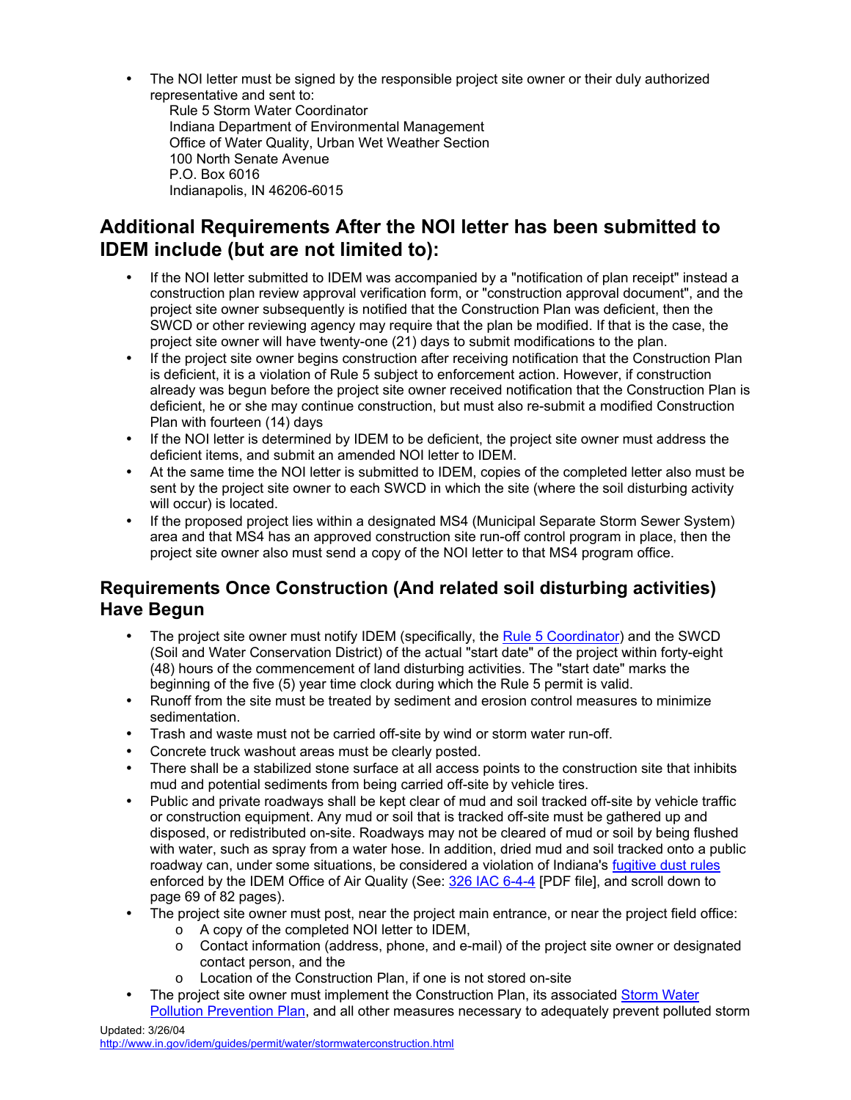<span id="page-4-0"></span>• The NOI letter must be signed by the responsible project site owner or their duly authorized representative and sent to:

 Rule 5 Storm Water Coordinator Indiana Department of Environmental Management Office of Water Quality, Urban Wet Weather Section 100 North Senate Avenue P.O. Box 6016 Indianapolis, IN 46206-6015

# **Additional Requirements After the NOI letter has been submitted to IDEM include (but are not limited to):**

- If the NOI letter submitted to IDEM was accompanied by a "notification of plan receipt" instead a construction plan review approval verification form, or "construction approval document", and the project site owner subsequently is notified that the Construction Plan was deficient, then the SWCD or other reviewing agency may require that the plan be modified. If that is the case, the project site owner will have twenty-one (21) days to submit modifications to the plan.
- If the project site owner begins construction after receiving notification that the Construction Plan is deficient, it is a violation of Rule 5 subject to enforcement action. However, if construction already was begun before the project site owner received notification that the Construction Plan is deficient, he or she may continue construction, but must also re-submit a modified Construction Plan with fourteen (14) days
- If the NOI letter is determined by IDEM to be deficient, the project site owner must address the deficient items, and submit an amended NOI letter to IDEM.
- At the same time the NOI letter is submitted to IDEM, copies of the completed letter also must be sent by the project site owner to each SWCD in which the site (where the soil disturbing activity will occur) is located.
- If the proposed project lies within a designated MS4 (Municipal Separate Storm Sewer System) area and that MS4 has an approved construction site run-off control program in place, then the project site owner also must send a copy of the NOI letter to that MS4 program office.

#### **Requirements Once Construction (And related soil disturbing activities) Have Begun**

- The project site owner must notify IDEM (specifically, the [Rule 5 Coordinator\)](#page-7-0) and the SWCD (Soil and Water Conservation District) of the actual "start date" of the project within forty-eight (48) hours of the commencement of land disturbing activities. The "start date" marks the beginning of the five (5) year time clock during which the Rule 5 permit is valid.
- Runoff from the site must be treated by sediment and erosion control measures to minimize sedimentation.
- Trash and waste must not be carried off-site by wind or storm water run-off.
- Concrete truck washout areas must be clearly posted.
- There shall be a stabilized stone surface at all access points to the construction site that inhibits mud and potential sediments from being carried off-site by vehicle tires.
- Public and private roadways shall be kept clear of mud and soil tracked off-site by vehicle traffic or construction equipment. Any mud or soil that is tracked off-site must be gathered up and disposed, or redistributed on-site. Roadways may not be cleared of mud or soil by being flushed with water, such as spray from a water hose. In addition, dried mud and soil tracked onto a public roadway can, under some situations, be considered a violation of Indiana's [fugitive dust rules](http://www.in.gov/idem/guides/permit/air/fugitivedust.html#fugitive) enforced by the IDEM Office of Air Quality (See: [326 IAC 6-4-4](http://www.in.gov/legislative/iac/t03260/a00060.pdf) [PDF file], and scroll down to page 69 of 82 pages).
- The project site owner must post, near the project main entrance, or near the project field office:
	- o A copy of the completed NOI letter to IDEM,
	- o Contact information (address, phone, and e-mail) of the project site owner or designated contact person, and the
	- o Location of the Construction Plan, if one is not stored on-site
- The project site owner must implement the Construction Plan, its associated Storm Water [Pollution Prevention Plan,](#page-2-0) and all other measures necessary to adequately prevent polluted storm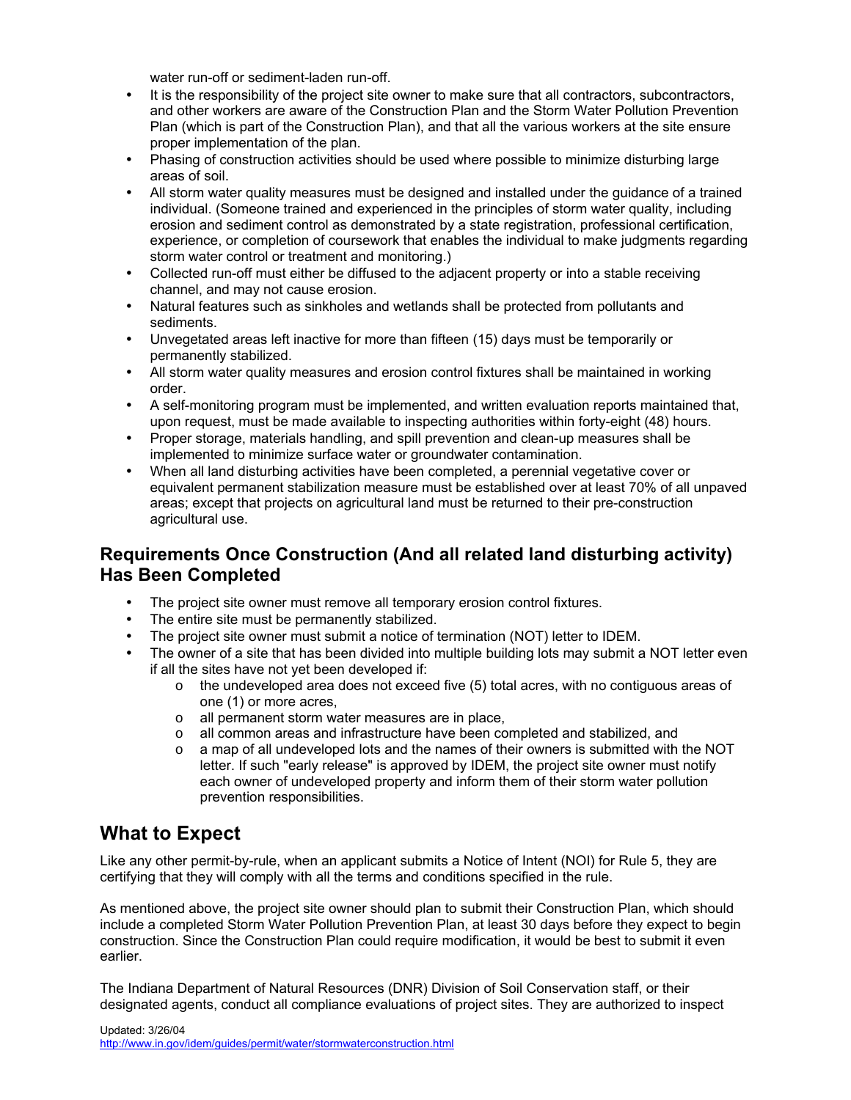water run-off or sediment-laden run-off.

- <span id="page-5-0"></span>• It is the responsibility of the project site owner to make sure that all contractors, subcontractors, and other workers are aware of the Construction Plan and the Storm Water Pollution Prevention Plan (which is part of the Construction Plan), and that all the various workers at the site ensure proper implementation of the plan.
- Phasing of construction activities should be used where possible to minimize disturbing large areas of soil.
- All storm water quality measures must be designed and installed under the guidance of a trained individual. (Someone trained and experienced in the principles of storm water quality, including erosion and sediment control as demonstrated by a state registration, professional certification, experience, or completion of coursework that enables the individual to make judgments regarding storm water control or treatment and monitoring.)
- Collected run-off must either be diffused to the adjacent property or into a stable receiving channel, and may not cause erosion.
- Natural features such as sinkholes and wetlands shall be protected from pollutants and sediments.
- Unvegetated areas left inactive for more than fifteen (15) days must be temporarily or permanently stabilized.
- All storm water quality measures and erosion control fixtures shall be maintained in working order.
- A self-monitoring program must be implemented, and written evaluation reports maintained that, upon request, must be made available to inspecting authorities within forty-eight (48) hours.
- Proper storage, materials handling, and spill prevention and clean-up measures shall be implemented to minimize surface water or groundwater contamination.
- When all land disturbing activities have been completed, a perennial vegetative cover or equivalent permanent stabilization measure must be established over at least 70% of all unpaved areas; except that projects on agricultural land must be returned to their pre-construction agricultural use.

#### **Requirements Once Construction (And all related land disturbing activity) Has Been Completed**

- The project site owner must remove all temporary erosion control fixtures.
- The entire site must be permanently stabilized.
- The project site owner must submit a notice of termination (NOT) letter to IDEM.
- The owner of a site that has been divided into multiple building lots may submit a NOT letter even if all the sites have not yet been developed if:
	- $\circ$  the undeveloped area does not exceed five (5) total acres, with no contiguous areas of one (1) or more acres,
	- o all permanent storm water measures are in place,
	- o all common areas and infrastructure have been completed and stabilized, and
	- $\circ$  a map of all undeveloped lots and the names of their owners is submitted with the NOT letter. If such "early release" is approved by IDEM, the project site owner must notify each owner of undeveloped property and inform them of their storm water pollution prevention responsibilities.

## **What to Expect**

Like any other permit-by-rule, when an applicant submits a Notice of Intent (NOI) for Rule 5, they are certifying that they will comply with all the terms and conditions specified in the rule.

As mentioned above, the project site owner should plan to submit their Construction Plan, which should include a completed Storm Water Pollution Prevention Plan, at least 30 days before they expect to begin construction. Since the Construction Plan could require modification, it would be best to submit it even earlier.

The Indiana Department of Natural Resources (DNR) Division of Soil Conservation staff, or their designated agents, conduct all compliance evaluations of project sites. They are authorized to inspect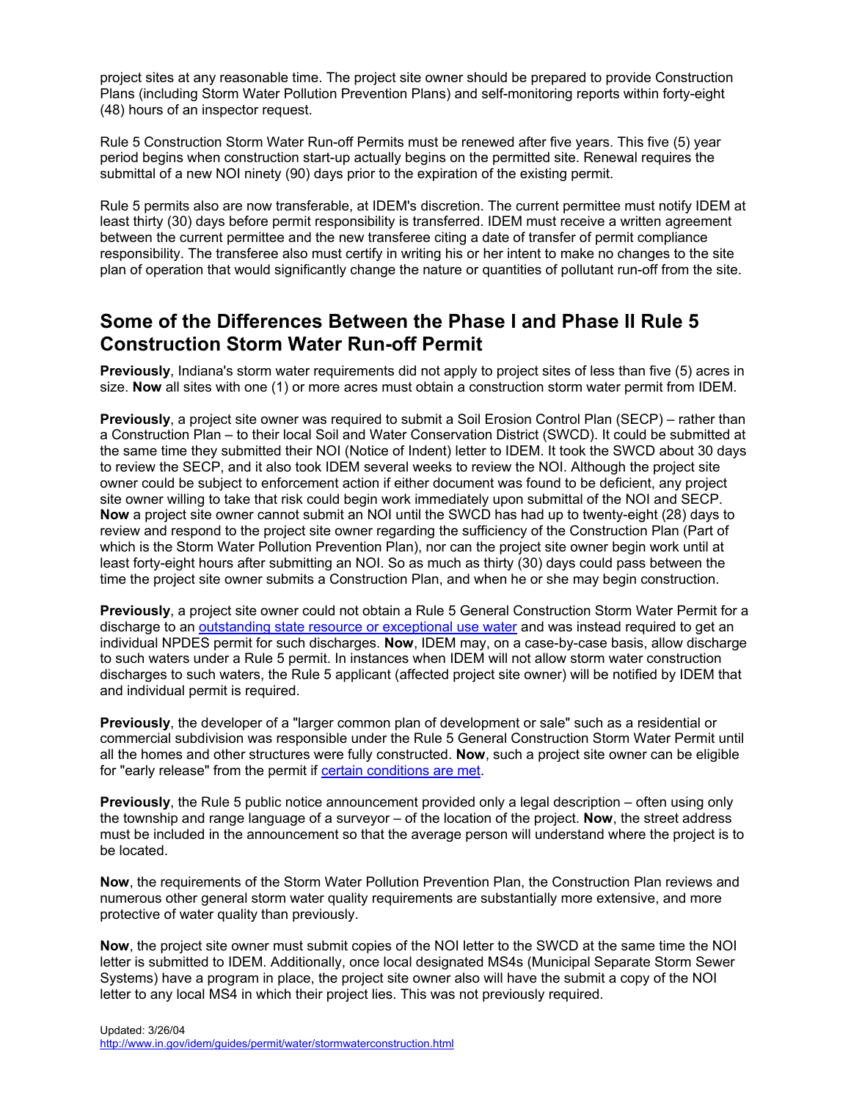<span id="page-6-0"></span>project sites at any reasonable time. The project site owner should be prepared to provide Construction Plans (including Storm Water Pollution Prevention Plans) and self-monitoring reports within forty-eight (48) hours of an inspector request.

Rule 5 Construction Storm Water Run-off Permits must be renewed after five years. This five (5) year period begins when construction start-up actually begins on the permitted site. Renewal requires the submittal of a new NOI ninety (90) days prior to the expiration of the existing permit.

Rule 5 permits also are now transferable, at IDEM's discretion. The current permittee must notify IDEM at least thirty (30) days before permit responsibility is transferred. IDEM must receive a written agreement between the current permittee and the new transferee citing a date of transfer of permit compliance responsibility. The transferee also must certify in writing his or her intent to make no changes to the site plan of operation that would significantly change the nature or quantities of pollutant run-off from the site.

### **Some of the Differences Between the Phase I and Phase II Rule 5 Construction Storm Water Run-off Permit**

**Previously**, Indiana's storm water requirements did not apply to project sites of less than five (5) acres in size. **Now** all sites with one (1) or more acres must obtain a construction storm water permit from IDEM.

**Previously**, a project site owner was required to submit a Soil Erosion Control Plan (SECP) – rather than a Construction Plan – to their local Soil and Water Conservation District (SWCD). It could be submitted at the same time they submitted their NOI (Notice of Indent) letter to IDEM. It took the SWCD about 30 days to review the SECP, and it also took IDEM several weeks to review the NOI. Although the project site owner could be subject to enforcement action if either document was found to be deficient, any project site owner willing to take that risk could begin work immediately upon submittal of the NOI and SECP. **Now** a project site owner cannot submit an NOI until the SWCD has had up to twenty-eight (28) days to review and respond to the project site owner regarding the sufficiency of the Construction Plan (Part of which is the Storm Water Pollution Prevention Plan), nor can the project site owner begin work until at least forty-eight hours after submitting an NOI. So as much as thirty (30) days could pass between the time the project site owner submits a Construction Plan, and when he or she may begin construction.

**Previously**, a project site owner could not obtain a Rule 5 General Construction Storm Water Permit for a discharge to an [outstanding state resource or exceptional use water](http://www.in.gov/idem/water/npdes/permits/wetwthr/storm/appdxa.html) and was instead required to get an individual NPDES permit for such discharges. **Now**, IDEM may, on a case-by-case basis, allow discharge to such waters under a Rule 5 permit. In instances when IDEM will not allow storm water construction discharges to such waters, the Rule 5 applicant (affected project site owner) will be notified by IDEM that and individual permit is required.

**Previously**, the developer of a "larger common plan of development or sale" such as a residential or commercial subdivision was responsible under the Rule 5 General Construction Storm Water Permit until all the homes and other structures were fully constructed. **Now**, such a project site owner can be eligible for "early release" from the permit if [certain conditions are met.](#page-5-0) 

**Previously**, the Rule 5 public notice announcement provided only a legal description – often using only the township and range language of a surveyor – of the location of the project. **Now**, the street address must be included in the announcement so that the average person will understand where the project is to be located.

**Now**, the requirements of the Storm Water Pollution Prevention Plan, the Construction Plan reviews and numerous other general storm water quality requirements are substantially more extensive, and more protective of water quality than previously.

**Now**, the project site owner must submit copies of the NOI letter to the SWCD at the same time the NOI letter is submitted to IDEM. Additionally, once local designated MS4s (Municipal Separate Storm Sewer Systems) have a program in place, the project site owner also will have the submit a copy of the NOI letter to any local MS4 in which their project lies. This was not previously required.